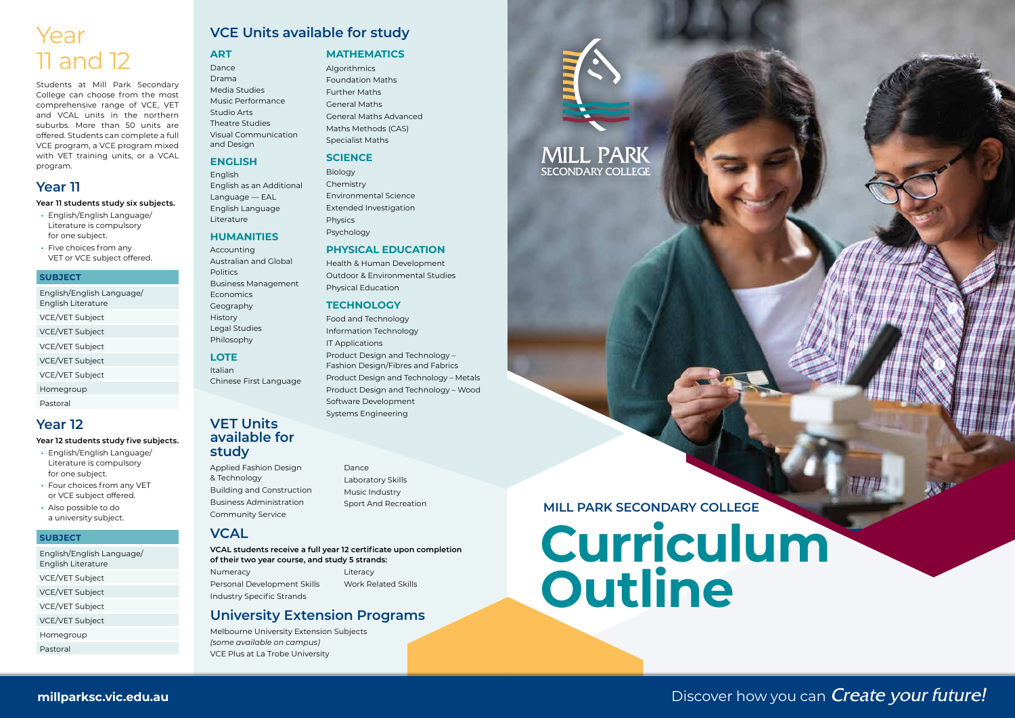# **Curriculum Outline**

#### **MILL PARK SECONDARY COLLEGE**

**MILL PARK SECONDARY COLLEGE** 



Discover how you can **Create your future!** 

### **VCE Units available for study**

**ART**

Dance Drama Media Studies Music Performance Studio Arts Theatre Studies Visual Communication and Design

#### **ENGLISH**

English English as an Additional Language — EAL English Language Literature

#### **HUMANITIES**

Accounting Australian and Global **Politics** Business Management Economics Geography History Legal Studies Philosophy

#### **LOTE**

Italian Chinese First Language

#### **VET Units available for study**

**Algorithmics** Foundation Maths Further Maths General Maths General Maths Advanced Maths Methods (CAS) Specialist Maths

Applied Fashion Design & Technology Building and Construction Business Administration Community Service

Dance Laboratory Skills Music Industry Sport And Recreation

#### **VCAL**

**VCAL students receive a full year 12 certificate upon completion of their two year course, and study 5 strands:**

Numeracy Personal Development Skills Industry Specific Strands

Literacy Work Related Skills

#### **University Extension Programs**

Melbourne University Extension Subjects *(some available on campus)* VCE Plus at La Trobe University

#### **MATHEMATICS**

#### **SCIENCE**

Biology Chemistry Environmental Science Extended Investigation Physics Psychology

#### **PHYSICAL EDUCATION**

Health & Human Development Outdoor & Environmental Studies Physical Education

#### **TECHNOLOGY**

Food and Technology Information Technology IT Applications Product Design and Technology – Fashion Design/Fibres and Fabrics Product Design and Technology – Metals Product Design and Technology – Wood Software Development Systems Engineering

## Year 11 and 12

Students at Mill Park Secondary College can choose from the most comprehensive range of VCE, VET and VCAL units in the northern suburbs. More than 50 units are offered. Students can complete a full VCE program, a VCE program mixed with VET training units, or a VCAL program.

#### **Year 11**

#### **Year 11 students study six subjects.**

- **•** English/English Language/ Literature is compulsory for one subject.
- **•** Five choices from any VET or VCE subject offered.

#### **SUBJECT**

English/English Language/ English Literature VCE/VET Subject VCE/VET Subject VCE/VET Subject VCE/VET Subject VCE/VET Subject

Homegroup

Pastoral

### **Year 12**

#### **Year 12 students study five subjects.**

- **•** English/English Language/ Literature is compulsory for one subject.
- **•** Four choices from any VET or VCE subject offered.
- **•** Also possible to do a university subject.

#### **SUBJECT**

English/English Language/ English Literature VCE/VET Subject VCE/VET Subject VCE/VET Subject VCE/VET Subject Homegroup Pastoral